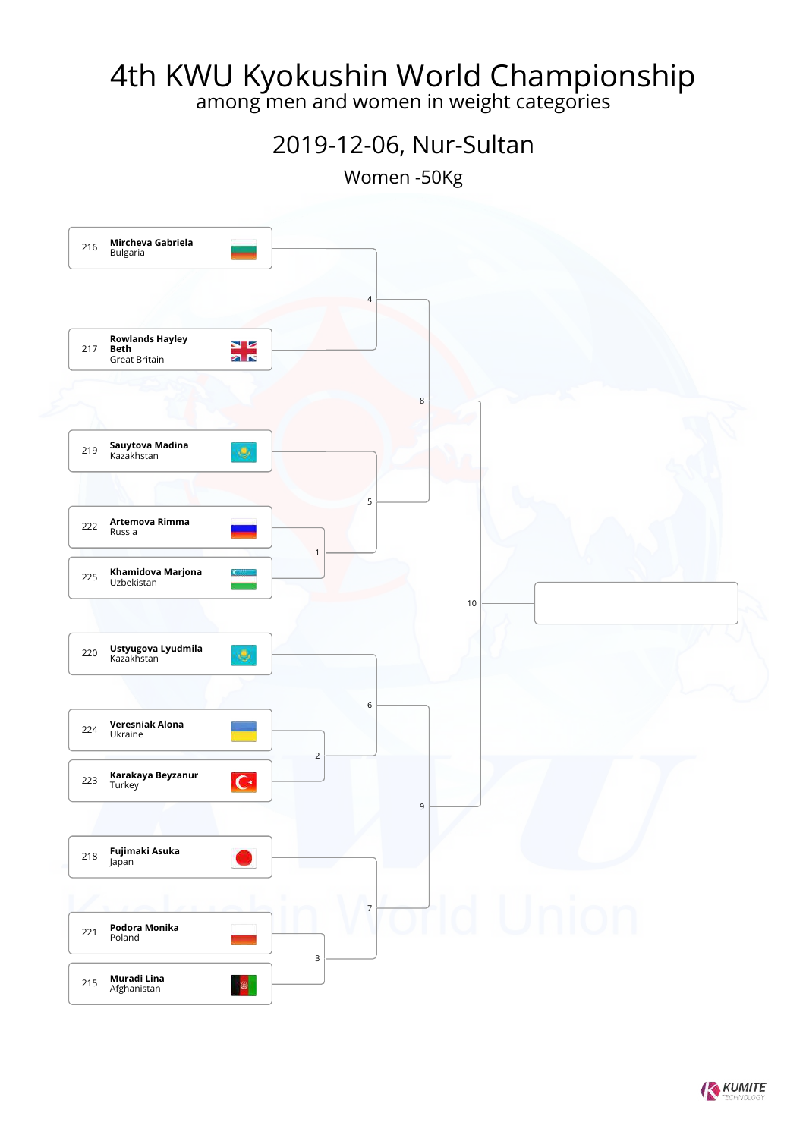among men and women in weight categories

#### 2019-12-06, Nur-Sultan

Women -50Kg



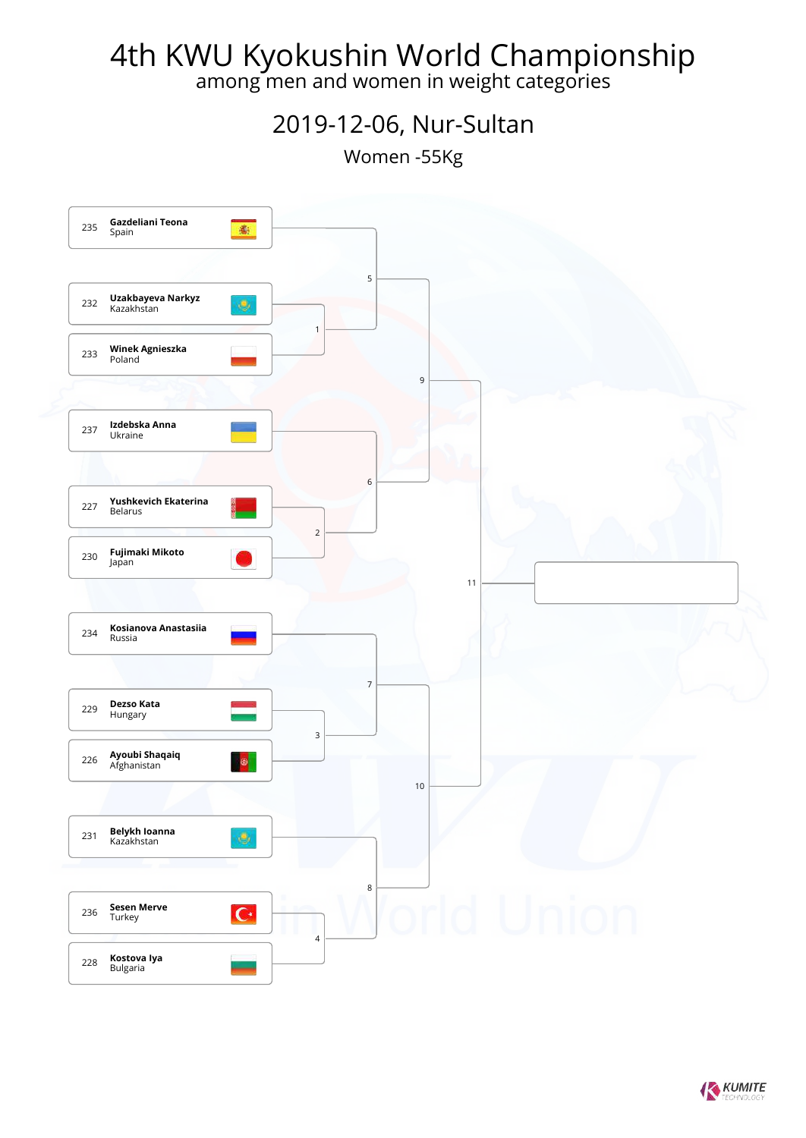among men and women in weight categories

#### 2019-12-06, Nur-Sultan

Women -55Kg



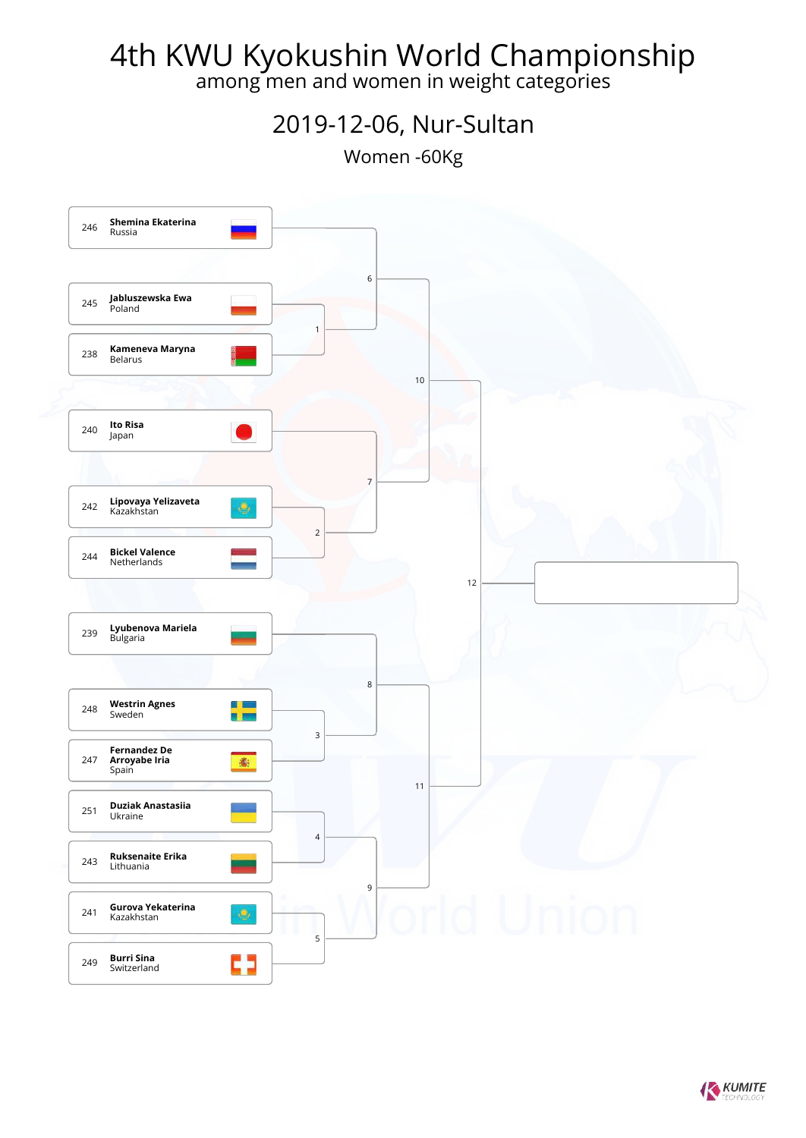among men and women in weight categories

#### 2019-12-06, Nur-Sultan

Women -60Kg



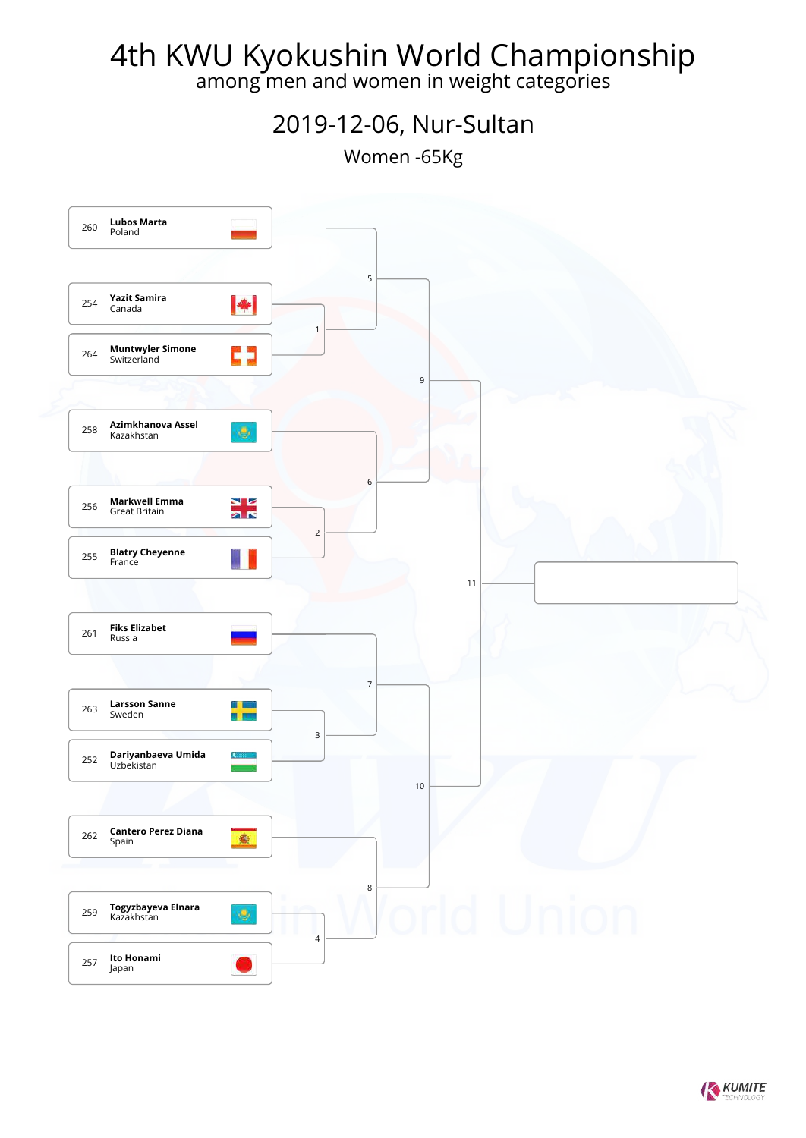among men and women in weight categories

#### 2019-12-06, Nur-Sultan

Women -65Kg



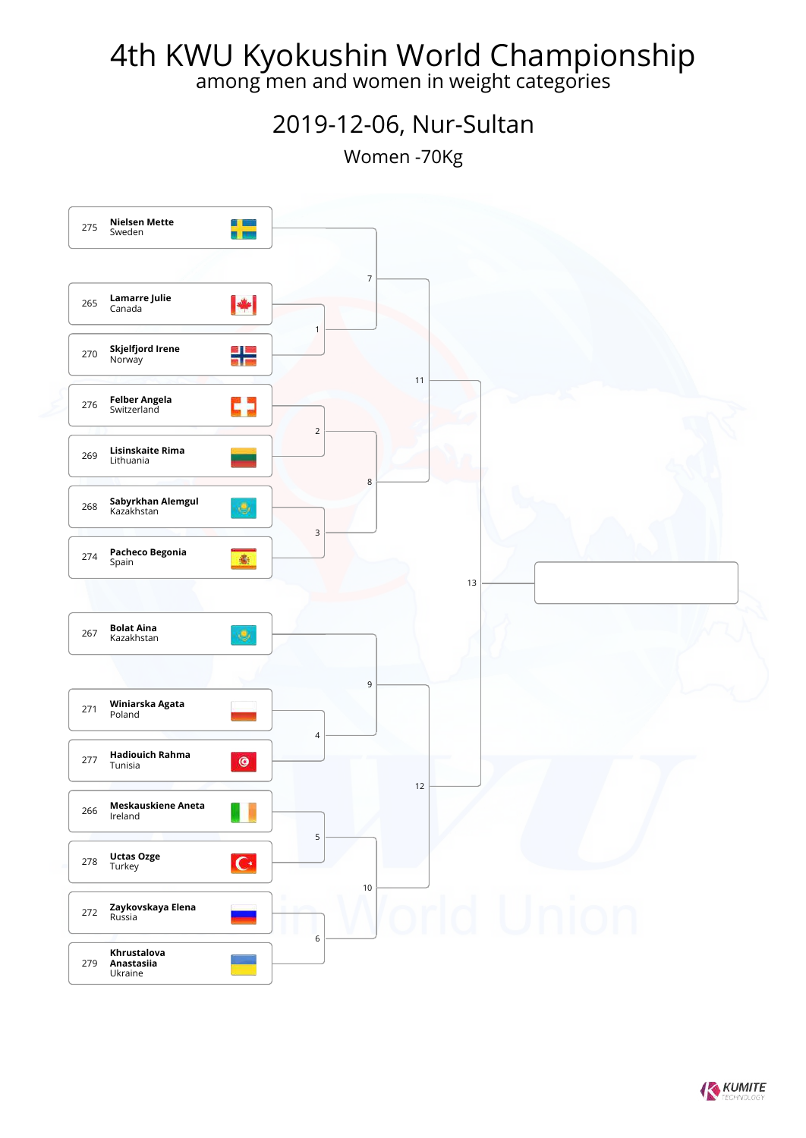among men and women in weight categories

#### 2019-12-06, Nur-Sultan

Women -70Kg



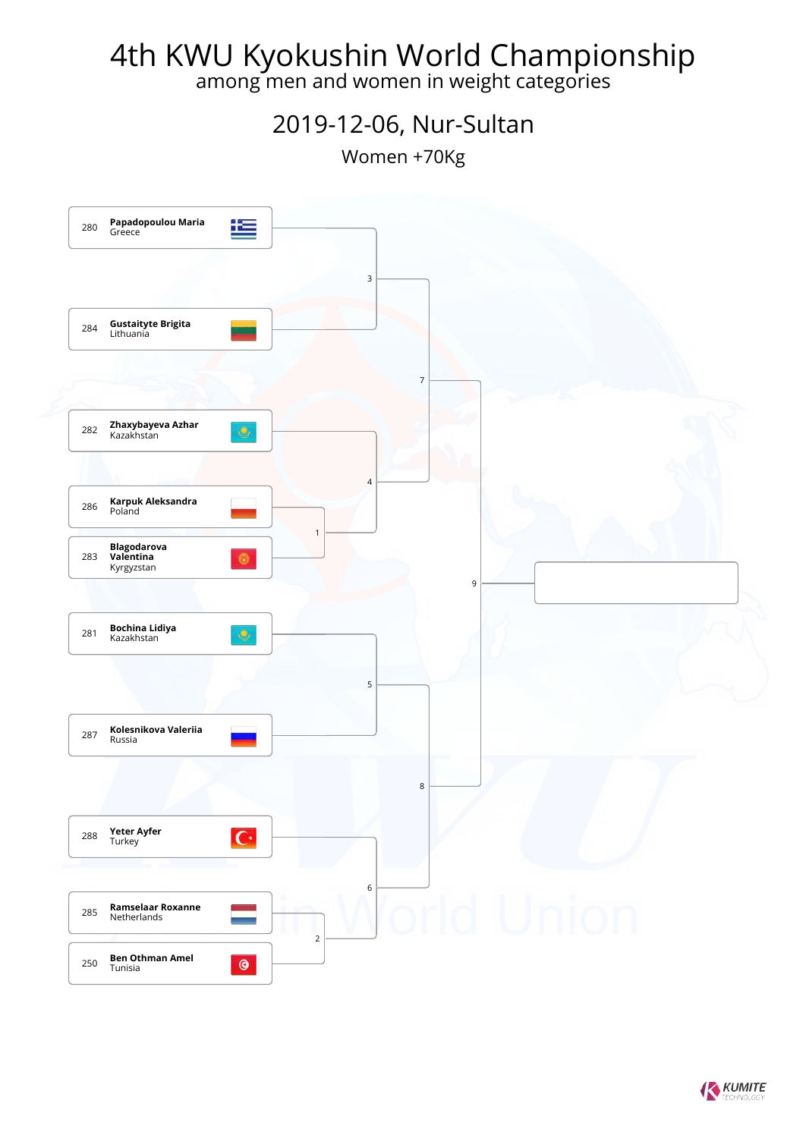among men and women in weight categories

#### 2019-12-06, Nur-Sultan

Women +70Kg



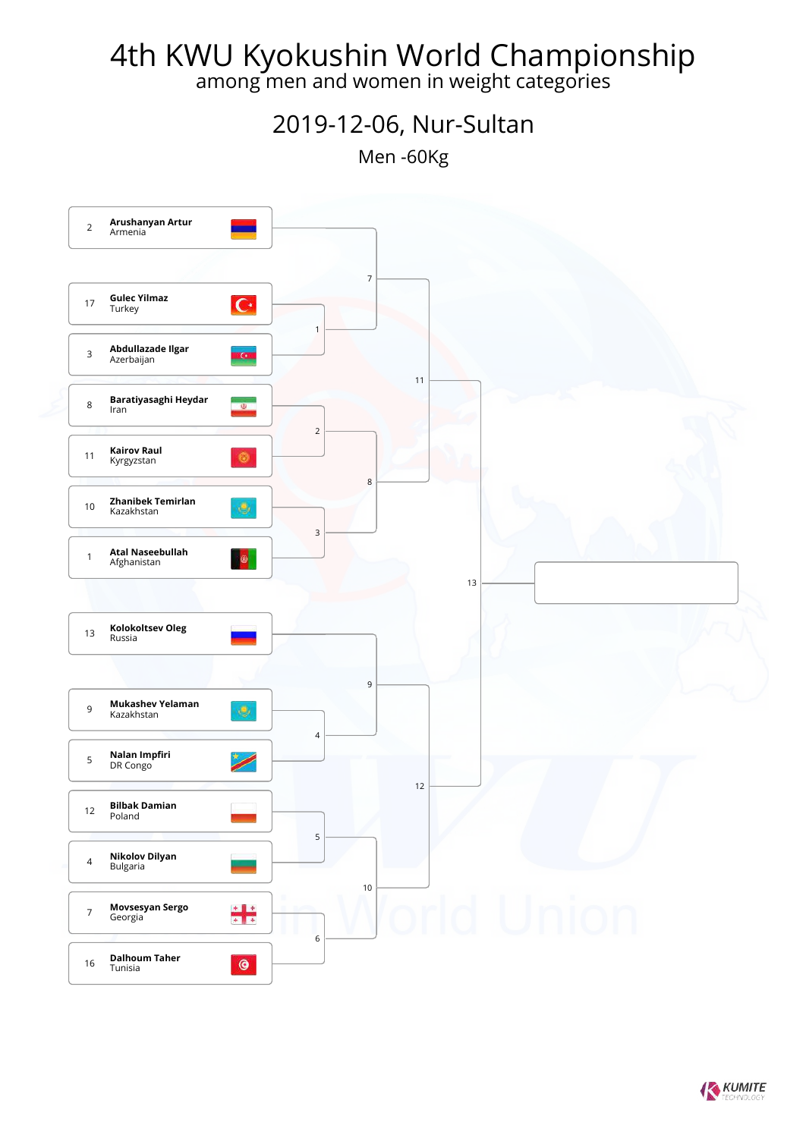among men and women in weight categories

2019-12-06, Nur-Sultan

Men -60Kg



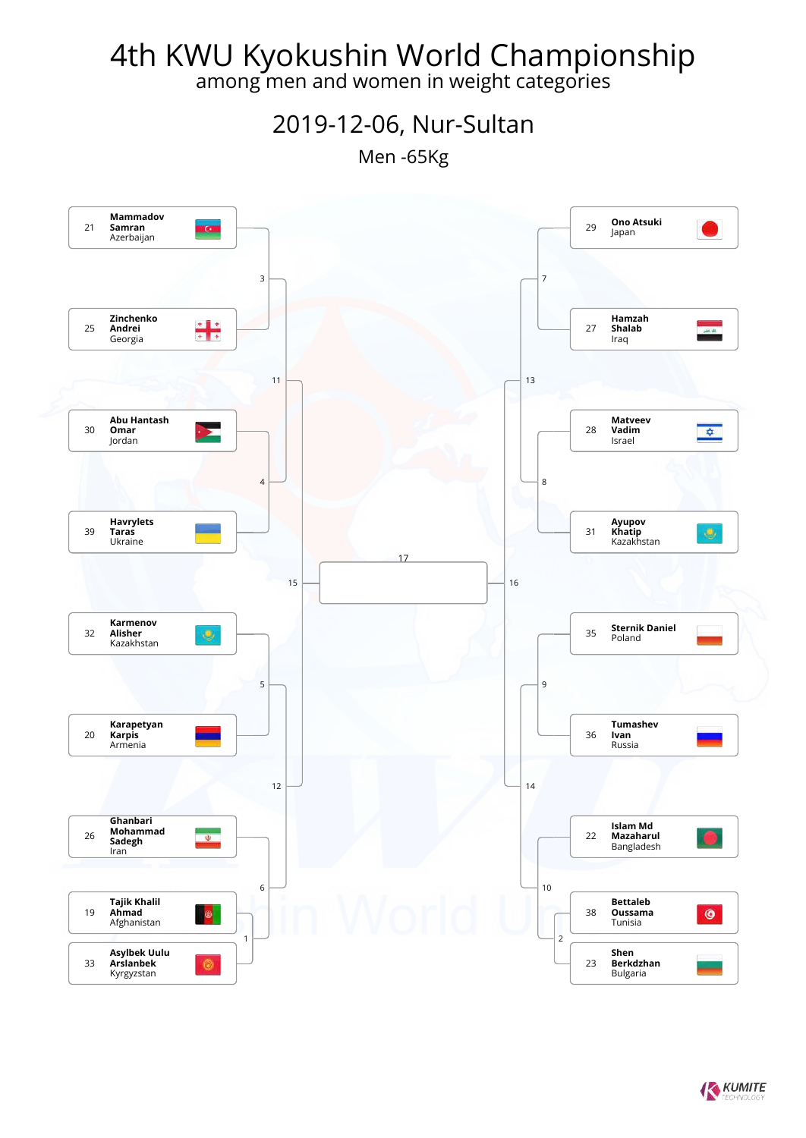among men and women in weight categories

2019-12-06, Nur-Sultan

Men -65Kg



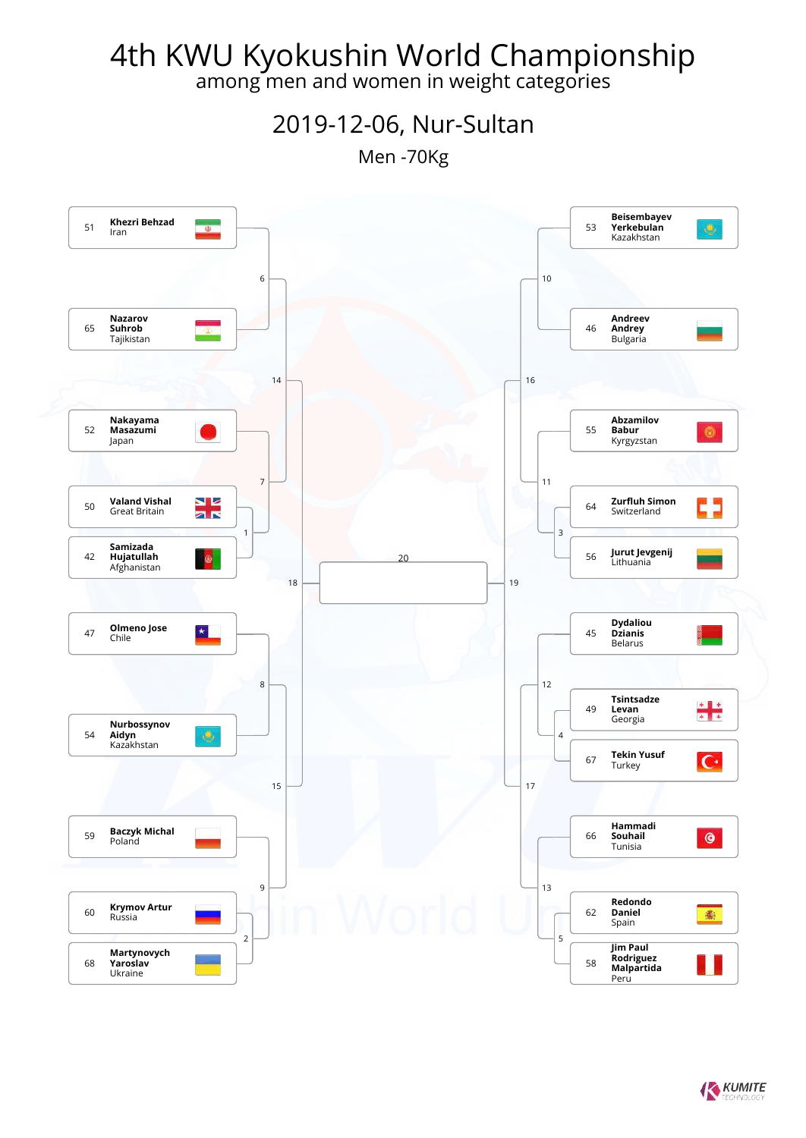among men and women in weight categories

2019-12-06, Nur-Sultan

Men -70Kg

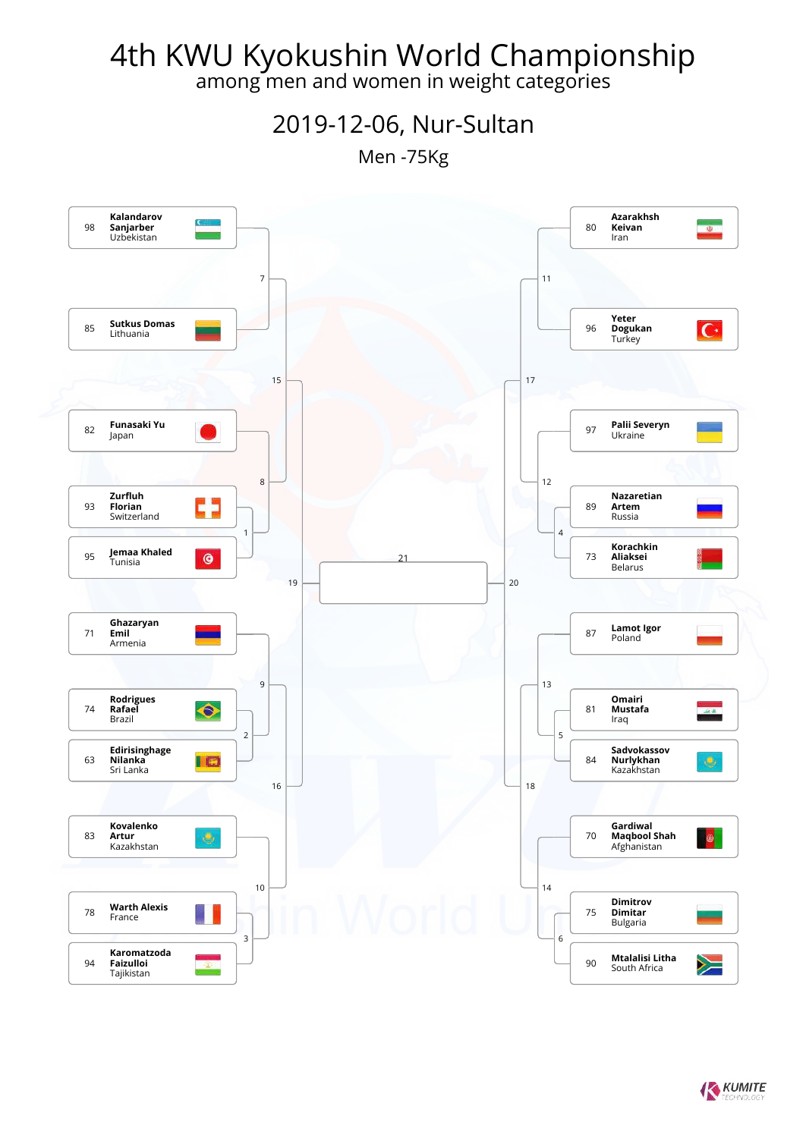among men and women in weight categories

2019-12-06, Nur-Sultan

Men -75Kg

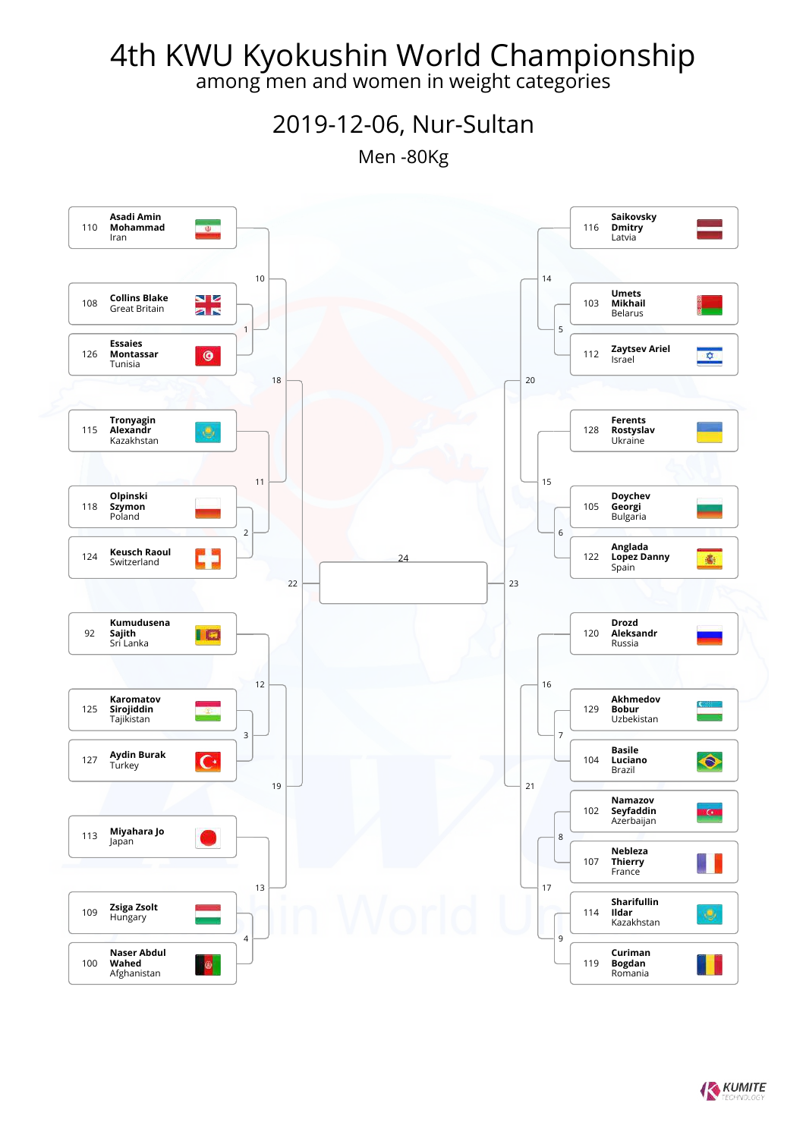among men and women in weight categories

2019-12-06, Nur-Sultan

Men -80Kg

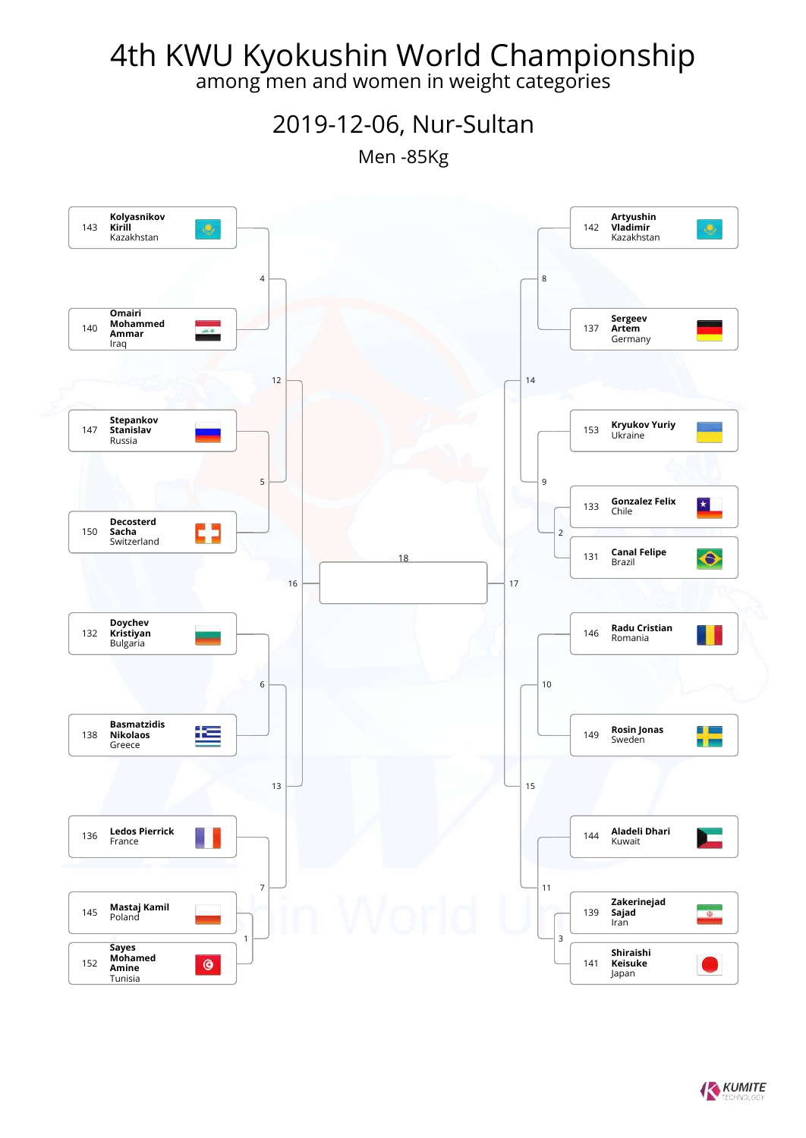among men and women in weight categories

2019-12-06, Nur-Sultan

Men -85Kg

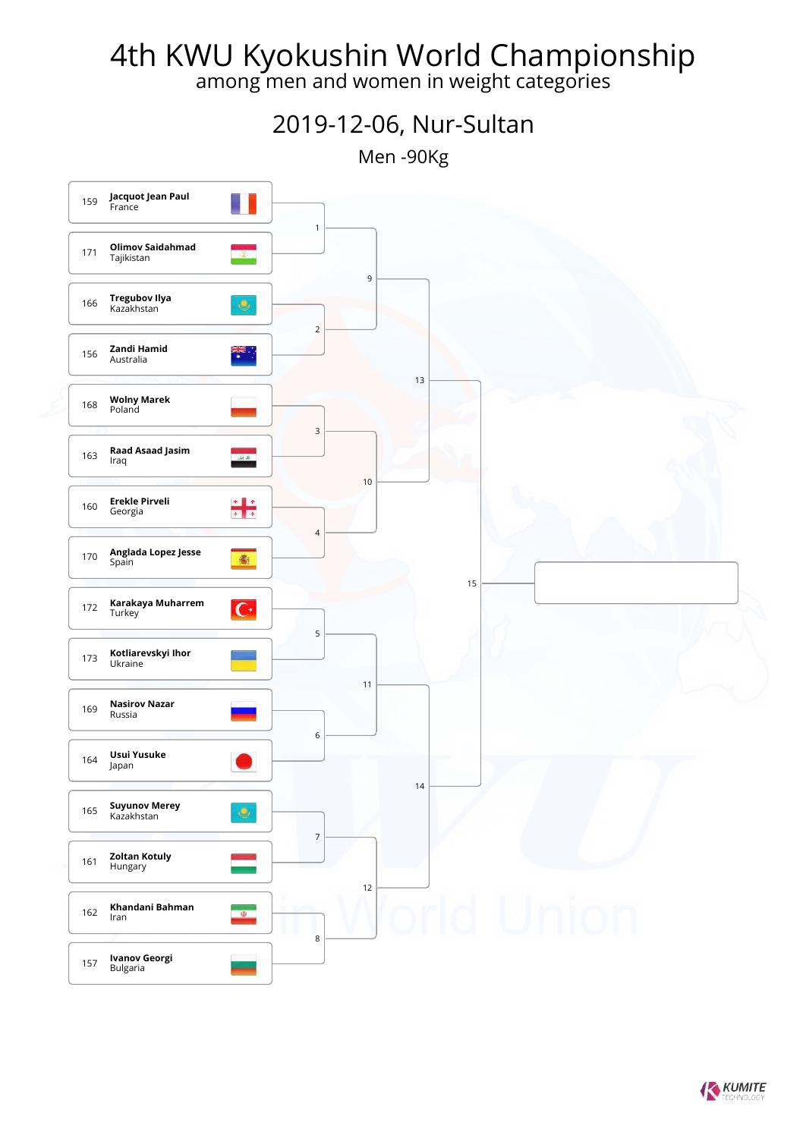among men and women in weight categories



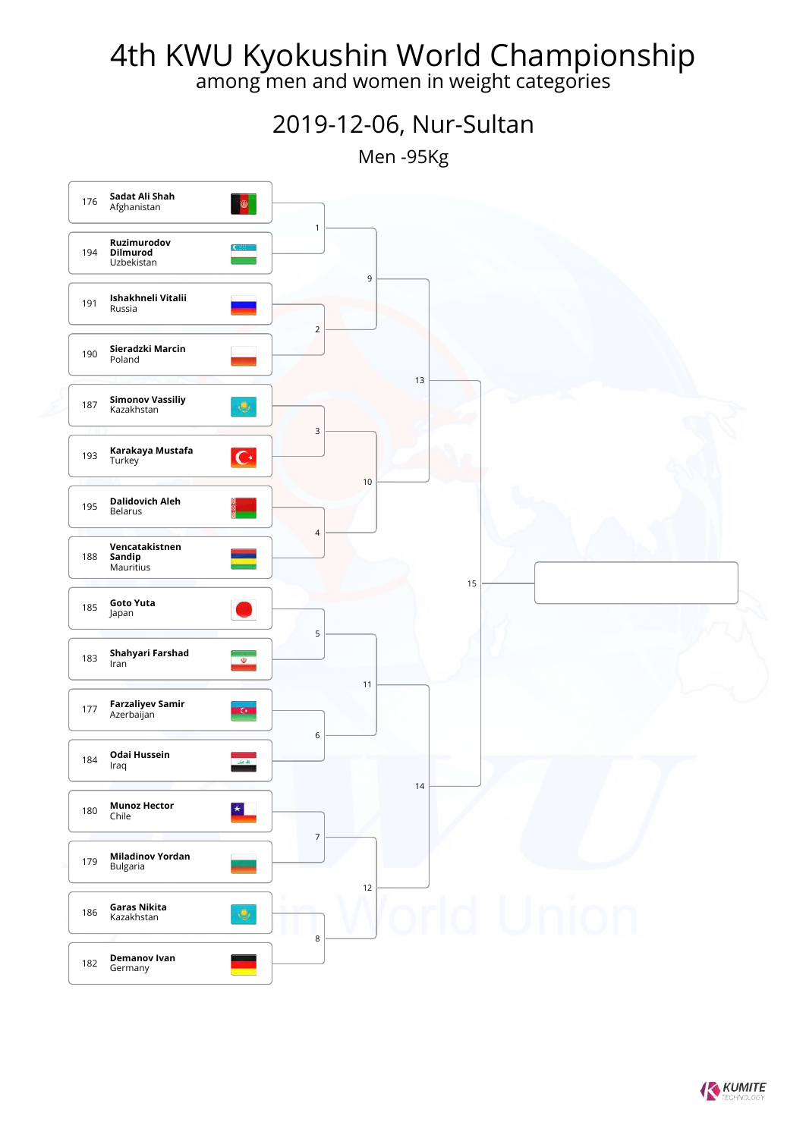among men and women in weight categories